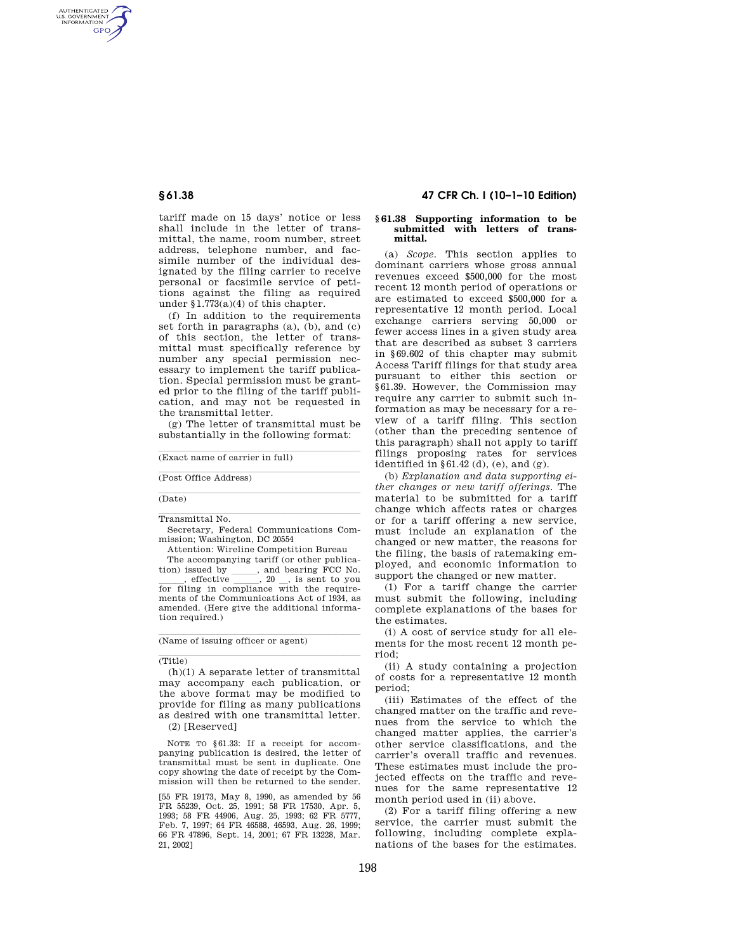AUTHENTICATED<br>U.S. GOVERNMENT<br>INFORMATION GPO

> tariff made on 15 days' notice or less shall include in the letter of transmittal, the name, room number, street address, telephone number, and facsimile number of the individual designated by the filing carrier to receive personal or facsimile service of petitions against the filing as required under §1.773(a)(4) of this chapter.

> (f) In addition to the requirements set forth in paragraphs (a), (b), and (c) of this section, the letter of transmittal must specifically reference by number any special permission necessary to implement the tariff publication. Special permission must be granted prior to the filing of the tariff publication, and may not be requested in the transmittal letter.

(g) The letter of transmittal must be substantially in the following format:

 $\overline{\text{(Exact name of carrier in full)}}$ 

(Post Office Address)

# (Date)

**Transmittal No.** 

Secretary, Federal Communications Commission; Washington, DC 20554

Attention: Wireline Competition Bureau

The accompanying tariff (or other publication) issued by  $\qquad$ , and bearing  $\overline{FCC}$  No.<br>, effective  $\qquad$ , 20, is sent to you effective 3. 20 signal is sent to you for filing in compliance with the requirements of the Communications Act of 1934, as amended. (Here give the additional information required.)

 $(Name of issuing officer or agent)$ 

## (Title)

(h)(1) A separate letter of transmittal may accompany each publication, or the above format may be modified to provide for filing as many publications as desired with one transmittal letter. (2) [Reserved]

NOTE TO §61.33: If a receipt for accompanying publication is desired, the letter of transmittal must be sent in duplicate. One copy showing the date of receipt by the Commission will then be returned to the sender.

[55 FR 19173, May 8, 1990, as amended by 56 FR 55239, Oct. 25, 1991; 58 FR 17530, Apr. 5, 1993; 58 FR 44906, Aug. 25, 1993; 62 FR 5777, Feb. 7, 1997; 64 FR 46588, 46593, Aug. 26, 1999; 66 FR 47896, Sept. 14, 2001; 67 FR 13228, Mar. 21, 2002]

### **§ 61.38 47 CFR Ch. I (10–1–10 Edition)**

#### **§ 61.38 Supporting information to be submitted with letters of transmittal.**

(a) *Scope.* This section applies to dominant carriers whose gross annual revenues exceed \$500,000 for the most recent 12 month period of operations or are estimated to exceed \$500,000 for a representative 12 month period. Local exchange carriers serving 50,000 or fewer access lines in a given study area that are described as subset 3 carriers in §69.602 of this chapter may submit Access Tariff filings for that study area pursuant to either this section or §61.39. However, the Commission may require any carrier to submit such information as may be necessary for a review of a tariff filing. This section (other than the preceding sentence of this paragraph) shall not apply to tariff filings proposing rates for services identified in  $§61.42$  (d), (e), and (g).

(b) *Explanation and data supporting either changes or new tariff offerings.* The material to be submitted for a tariff change which affects rates or charges or for a tariff offering a new service, must include an explanation of the changed or new matter, the reasons for the filing, the basis of ratemaking employed, and economic information to support the changed or new matter.

(1) For a tariff change the carrier must submit the following, including complete explanations of the bases for the estimates.

(i) A cost of service study for all elements for the most recent 12 month period;

(ii) A study containing a projection of costs for a representative 12 month period;

(iii) Estimates of the effect of the changed matter on the traffic and revenues from the service to which the changed matter applies, the carrier's other service classifications, and the carrier's overall traffic and revenues. These estimates must include the projected effects on the traffic and revenues for the same representative 12 month period used in (ii) above.

(2) For a tariff filing offering a new service, the carrier must submit the following, including complete explanations of the bases for the estimates.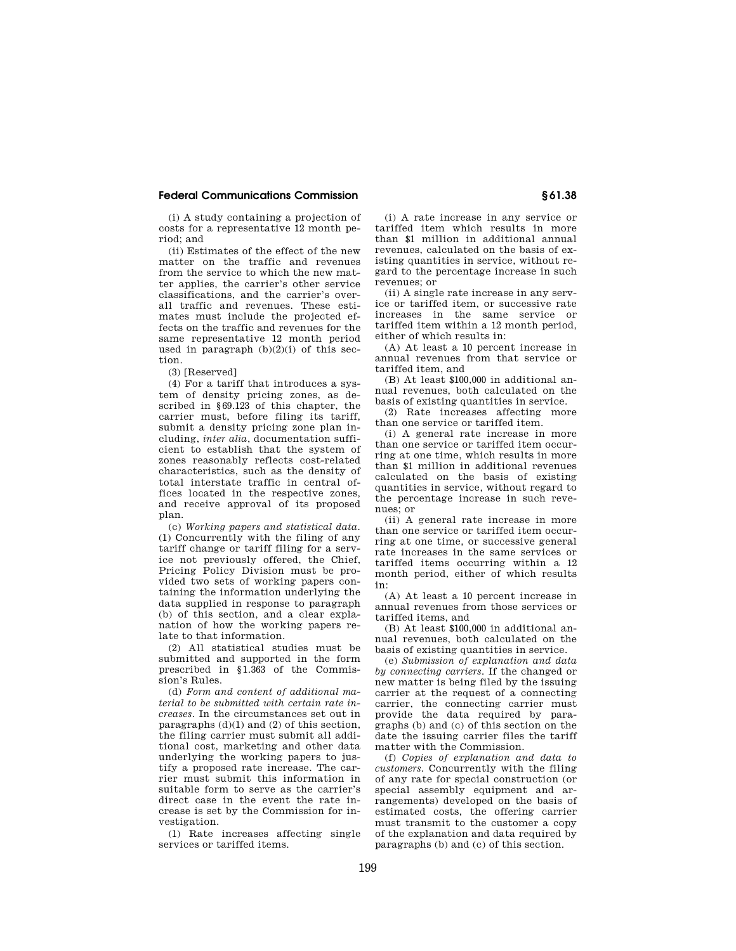### **Federal Communications Commission § 61.38**

(i) A study containing a projection of costs for a representative 12 month period; and

(ii) Estimates of the effect of the new matter on the traffic and revenues from the service to which the new matter applies, the carrier's other service classifications, and the carrier's overall traffic and revenues. These estimates must include the projected effects on the traffic and revenues for the same representative 12 month period used in paragraph (b)(2)(i) of this section.

(3) [Reserved]

(4) For a tariff that introduces a system of density pricing zones, as described in §69.123 of this chapter, the carrier must, before filing its tariff, submit a density pricing zone plan including, *inter alia*, documentation sufficient to establish that the system of zones reasonably reflects cost-related characteristics, such as the density of total interstate traffic in central offices located in the respective zones, and receive approval of its proposed plan.

(c) *Working papers and statistical data.*  (1) Concurrently with the filing of any tariff change or tariff filing for a service not previously offered, the Chief, Pricing Policy Division must be provided two sets of working papers containing the information underlying the data supplied in response to paragraph (b) of this section, and a clear explanation of how the working papers relate to that information.

(2) All statistical studies must be submitted and supported in the form prescribed in §1.363 of the Commission's Rules.

(d) *Form and content of additional material to be submitted with certain rate increases.* In the circumstances set out in paragraphs  $(d)(1)$  and  $(2)$  of this section, the filing carrier must submit all additional cost, marketing and other data underlying the working papers to justify a proposed rate increase. The carrier must submit this information in suitable form to serve as the carrier's direct case in the event the rate increase is set by the Commission for investigation.

(1) Rate increases affecting single services or tariffed items.

(i) A rate increase in any service or tariffed item which results in more than \$1 million in additional annual revenues, calculated on the basis of existing quantities in service, without regard to the percentage increase in such revenues; or

(ii) A single rate increase in any service or tariffed item, or successive rate increases in the same service or tariffed item within a 12 month period, either of which results in:

(A) At least a 10 percent increase in annual revenues from that service or tariffed item, and

(B) At least \$100,000 in additional annual revenues, both calculated on the basis of existing quantities in service.

(2) Rate increases affecting more than one service or tariffed item.

(i) A general rate increase in more than one service or tariffed item occurring at one time, which results in more than \$1 million in additional revenues calculated on the basis of existing quantities in service, without regard to the percentage increase in such revenues; or

(ii) A general rate increase in more than one service or tariffed item occurring at one time, or successive general rate increases in the same services or tariffed items occurring within a 12 month period, either of which results in:

(A) At least a 10 percent increase in annual revenues from those services or tariffed items, and

(B) At least \$100,000 in additional annual revenues, both calculated on the basis of existing quantities in service.

(e) *Submission of explanation and data by connecting carriers.* If the changed or new matter is being filed by the issuing carrier at the request of a connecting carrier, the connecting carrier must provide the data required by paragraphs (b) and (c) of this section on the date the issuing carrier files the tariff matter with the Commission.

(f) *Copies of explanation and data to customers.* Concurrently with the filing of any rate for special construction (or special assembly equipment and arrangements) developed on the basis of estimated costs, the offering carrier must transmit to the customer a copy of the explanation and data required by paragraphs (b) and (c) of this section.